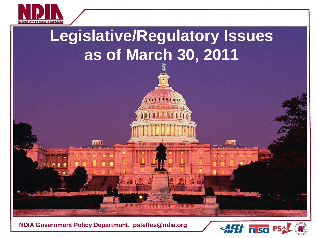



#### **NDIA Government Policy Department. psteffes@ndia.org**

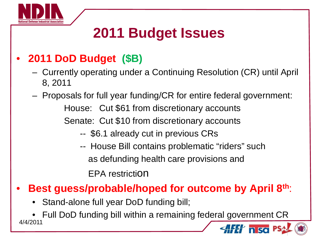

# **2011 Budget Issues**

## • **2011 DoD Budget (\$B)**

- Currently operating under a Continuing Resolution (CR) until April 8, 2011
- Proposals for full year funding/CR for entire federal government: House: Cut \$61 from discretionary accounts Senate: Cut \$10 from discretionary accounts
	- -- \$6.1 already cut in previous CRs
	- -- House Bill contains problematic "riders" such as defunding health care provisions and EPA restriction
- **Best guess/probable/hoped for outcome by April 8th**:
	- Stand-alone full year DoD funding bill;

• Full DoD funding bill within a remaining federal government CR 4/4/2011n sa P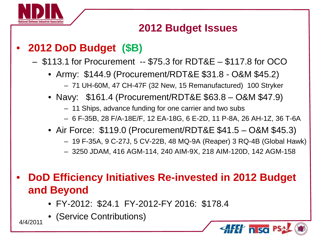

#### **2012 Budget Issues**

### • **2012 DoD Budget (\$B)**

– \$113.1 for Procurement -- \$75.3 for RDT&E – \$117.8 for OCO

- Army: \$144.9 (Procurement/RDT&E \$31.8 O&M \$45.2) – 71 UH-60M, 47 CH-47F (32 New, 15 Remanufactured) 100 Stryker
- Navy: \$161.4 (Procurement/RDT&E \$63.8 O&M \$47.9)
	- 11 Ships, advance funding for one carrier and two subs
	- 6 F-35B, 28 F/A-18E/F, 12 EA-18G, 6 E-2D, 11 P-8A, 26 AH-1Z, 36 T-6A
- Air Force: \$119.0 (Procurement/RDT&E \$41.5 O&M \$45.3)
	- 19 F-35A, 9 C-27J, 5 CV-22B, 48 MQ-9A (Reaper) 3 RQ-4B (Global Hawk)
	- 3250 JDAM, 416 AGM-114, 240 AIM-9X, 218 AIM-120D, 142 AGM-158
- **DoD Efficiency Initiatives Re-invested in 2012 Budget and Beyond**
	- FY-2012: \$24.1 FY-2012-FY 2016: \$178.4
- (Service Contributions) 4/4/2011

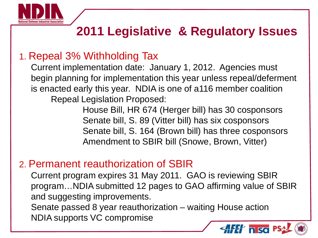

# **2011 Legislative & Regulatory Issues**

### 1. Repeal 3% Withholding Tax

Current implementation date: January 1, 2012. Agencies must begin planning for implementation this year unless repeal/deferment is enacted early this year. NDIA is one of a116 member coalition Repeal Legislation Proposed:

> House Bill, HR 674 (Herger bill) has 30 cosponsors Senate bill, S. 89 (Vitter bill) has six cosponsors Senate bill, S. 164 (Brown bill) has three cosponsors Amendment to SBIR bill (Snowe, Brown, Vitter)

#### 2. Permanent reauthorization of SBIR

Current program expires 31 May 2011. GAO is reviewing SBIR program…NDIA submitted 12 pages to GAO affirming value of SBIR and suggesting improvements. Senate passed 8 year reauthorization – waiting House action NDIA supports VC compromise

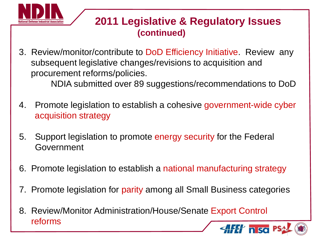

#### **2011 Legislative & Regulatory Issues (continued)**

3. Review/monitor/contribute to DoD Efficiency Initiative. Review any subsequent legislative changes/revisions to acquisition and procurement reforms/policies.

NDIA submitted over 89 suggestions/recommendations to DoD

- 4. Promote legislation to establish a cohesive government-wide cyber acquisition strategy
- 5. Support legislation to promote energy security for the Federal Government
- 6. Promote legislation to establish a national manufacturing strategy
- 7. Promote legislation for parity among all Small Business categories
- 8. Review/Monitor Administration/House/Senate Export Control reforms $\ell$  n so P.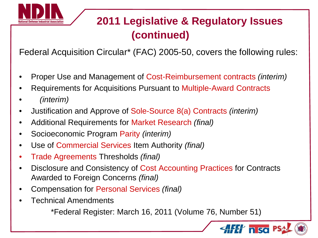

# **2011 Legislative & Regulatory Issues (continued)**

Federal Acquisition Circular\* (FAC) 2005-50, covers the following rules:

- Proper Use and Management of Cost-Reimbursement contracts *(interim)*
- Requirements for Acquisitions Pursuant to Multiple-Award Contracts
- *(interim)*
- Justification and Approve of Sole-Source 8(a) Contracts *(interim)*
- Additional Requirements for Market Research *(final)*
- Socioeconomic Program Parity *(interim)*
- Use of Commercial Services Item Authority *(final)*
- Trade Agreements Thresholds *(final)*
- Disclosure and Consistency of Cost Accounting Practices for Contracts Awarded to Foreign Concerns *(final)*
- Compensation for Personal Services *(final)*
- Technical Amendments

\*Federal Register: March 16, 2011 (Volume 76, Number 51)

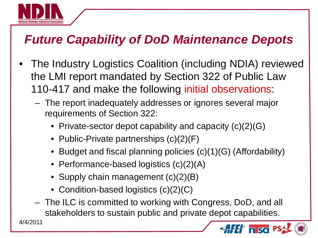

# *Future Capability of DoD Maintenance Depots*

- The Industry Logistics Coalition (including NDIA) reviewed the LMI report mandated by Section 322 of Public Law 110-417 and make the following initial observations:
	- The report inadequately addresses or ignores several major requirements of Section 322:
		- Private-sector depot capability and capacity  $(c)(2)(G)$
		- Public-Private partnerships  $(c)(2)(F)$
		- Budget and fiscal planning policies (c)(1)(G) (Affordability)
		- Performance-based logistics (c)(2)(A)
		- Supply chain management (c)(2)(B)
		- Condition-based logistics (c)(2)(C)
	- The ILC is committed to working with Congress, DoD, and all stakeholders to sustain public and private depot capabilities.

n sa

4/4/2011